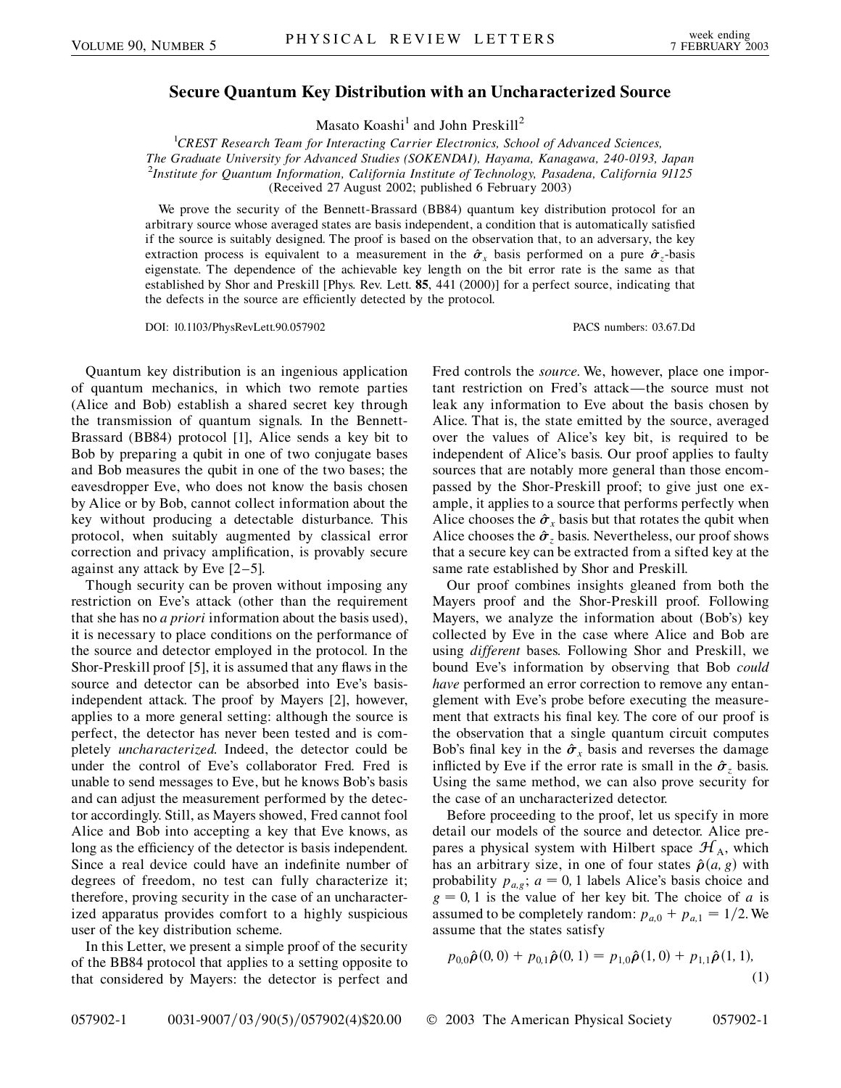## **Secure Quantum Key Distribution with an Uncharacterized Source**

Masato Koashi<sup>1</sup> and John Preskill<sup>2</sup>

1 *CREST Research Team for Interacting Carrier Electronics, School of Advanced Sciences, The Graduate University for Advanced Studies (SOKENDAI), Hayama, Kanagawa, 240-0193, Japan* 2 *Institute for Quantum Information, California Institute of Technology, Pasadena, California 91125* (Received 27 August 2002; published 6 February 2003)

We prove the security of the Bennett-Brassard (BB84) quantum key distribution protocol for an arbitrary source whose averaged states are basis independent, a condition that is automatically satisfied if the source is suitably designed. The proof is based on the observation that, to an adversary, the key extraction process is equivalent to a measurement in the  $\hat{\sigma}_x$  basis performed on a pure  $\hat{\sigma}_z$ -basis eigenstate. The dependence of the achievable key length on the bit error rate is the same as that established by Shor and Preskill [Phys. Rev. Lett. **85**, 441 (2000)] for a perfect source, indicating that the defects in the source are efficiently detected by the protocol.

DOI: 10.1103/PhysRevLett.90.057902 PACS numbers: 03.67.Dd

Quantum key distribution is an ingenious application of quantum mechanics, in which two remote parties (Alice and Bob) establish a shared secret key through the transmission of quantum signals. In the Bennett-Brassard (BB84) protocol [1], Alice sends a key bit to Bob by preparing a qubit in one of two conjugate bases and Bob measures the qubit in one of the two bases; the eavesdropper Eve, who does not know the basis chosen by Alice or by Bob, cannot collect information about the key without producing a detectable disturbance. This protocol, when suitably augmented by classical error correction and privacy amplification, is provably secure against any attack by Eve [2–5].

Though security can be proven without imposing any restriction on Eve's attack (other than the requirement that she has no *a priori* information about the basis used), it is necessary to place conditions on the performance of the source and detector employed in the protocol. In the Shor-Preskill proof [5], it is assumed that any flaws in the source and detector can be absorbed into Eve's basisindependent attack. The proof by Mayers [2], however, applies to a more general setting: although the source is perfect, the detector has never been tested and is completely *uncharacterized*. Indeed, the detector could be under the control of Eve's collaborator Fred. Fred is unable to send messages to Eve, but he knows Bob's basis and can adjust the measurement performed by the detector accordingly. Still, as Mayers showed, Fred cannot fool Alice and Bob into accepting a key that Eve knows, as long as the efficiency of the detector is basis independent. Since a real device could have an indefinite number of degrees of freedom, no test can fully characterize it; therefore, proving security in the case of an uncharacterized apparatus provides comfort to a highly suspicious user of the key distribution scheme.

In this Letter, we present a simple proof of the security of the BB84 protocol that applies to a setting opposite to that considered by Mayers: the detector is perfect and Fred controls the *source*. We, however, place one important restriction on Fred's attack—the source must not leak any information to Eve about the basis chosen by Alice. That is, the state emitted by the source, averaged over the values of Alice's key bit, is required to be independent of Alice's basis. Our proof applies to faulty sources that are notably more general than those encompassed by the Shor-Preskill proof; to give just one example, it applies to a source that performs perfectly when Alice chooses the  $\hat{\sigma}_x$  basis but that rotates the qubit when Alice chooses the  $\hat{\sigma}_z$  basis. Nevertheless, our proof shows that a secure key can be extracted from a sifted key at the same rate established by Shor and Preskill.

Our proof combines insights gleaned from both the Mayers proof and the Shor-Preskill proof. Following Mayers, we analyze the information about (Bob's) key collected by Eve in the case where Alice and Bob are using *different* bases. Following Shor and Preskill, we bound Eve's information by observing that Bob *could have* performed an error correction to remove any entanglement with Eve's probe before executing the measurement that extracts his final key. The core of our proof is the observation that a single quantum circuit computes Bob's final key in the  $\hat{\sigma}_x$  basis and reverses the damage inflicted by Eve if the error rate is small in the  $\hat{\sigma}_z$  basis. Using the same method, we can also prove security for the case of an uncharacterized detector.

Before proceeding to the proof, let us specify in more detail our models of the source and detector. Alice prepares a physical system with Hilbert space  $\mathcal{H}_A$ , which has an arbitrary size, in one of four states  $\hat{\rho}(a, g)$  with probability  $p_{a,g}$ ;  $a = 0$ , 1 labels Alice's basis choice and  $g = 0$ , 1 is the value of her key bit. The choice of *a* is assumed to be completely random:  $p_{a,0} + p_{a,1} = 1/2$ . We assume that the states satisfy

$$
p_{0,0}\hat{\rho}(0,0) + p_{0,1}\hat{\rho}(0,1) = p_{1,0}\hat{\rho}(1,0) + p_{1,1}\hat{\rho}(1,1),
$$
\n(1)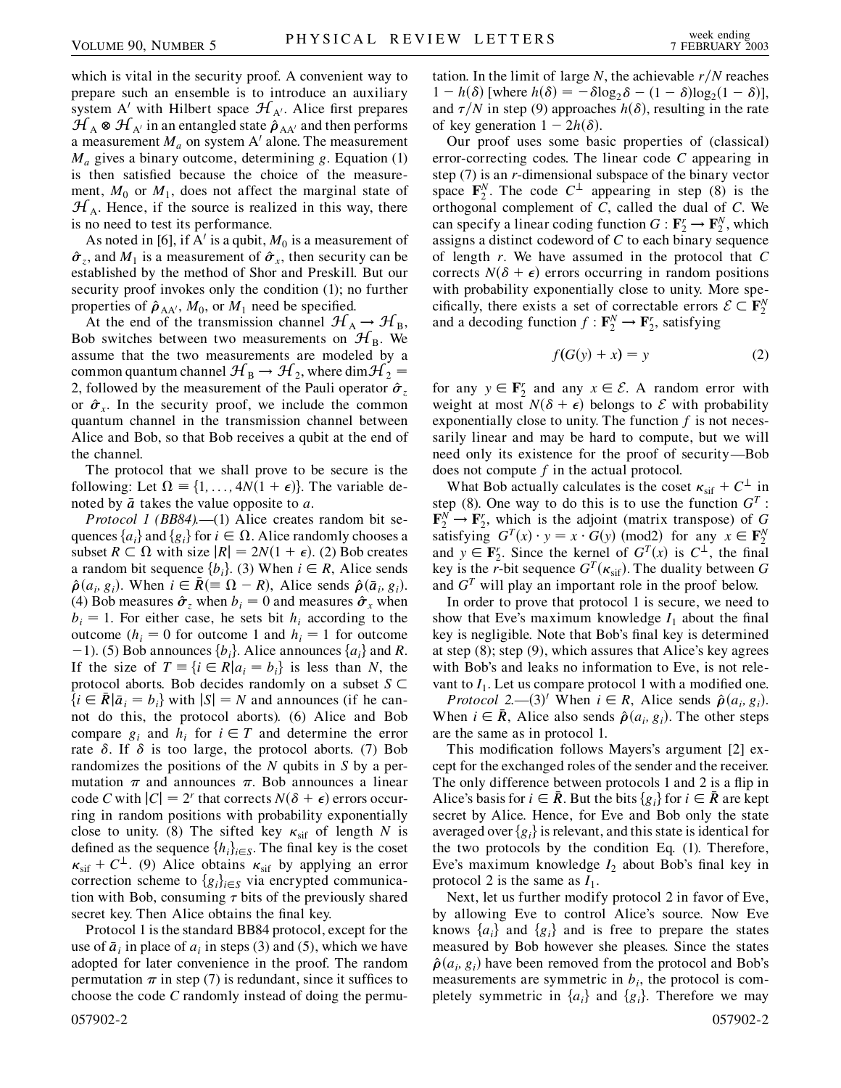which is vital in the security proof. A convenient way to prepare such an ensemble is to introduce an auxiliary system A' with Hilbert space  $\mathcal{H}_{A'}$ . Alice first prepares  $\mathcal{H}_A \otimes \mathcal{H}_{A'}$  in an entangled state  $\hat{\rho}_{AA'}$  and then performs a measurement  $M_a$  on system A<sup> $\prime$ </sup> alone. The measurement *Ma* gives a binary outcome, determining *g*. Equation (1) is then satisfied because the choice of the measurement,  $M_0$  or  $M_1$ , does not affect the marginal state of  $\mathcal{H}_A$ . Hence, if the source is realized in this way, there is no need to test its performance.

As noted in [6], if  $A'$  is a qubit,  $M_0$  is a measurement of  $\hat{\sigma}_z$ , and  $M_1$  is a measurement of  $\hat{\sigma}_x$ , then security can be established by the method of Shor and Preskill. But our security proof invokes only the condition (1); no further properties of  $\hat{\rho}_{AA'}$ ,  $M_0$ , or  $M_1$  need be specified.

At the end of the transmission channel  $\mathcal{H}_A \to \mathcal{H}_B$ , Bob switches between two measurements on  $\mathcal{H}_B$ . We assume that the two measurements are modeled by a common quantum channel  $\mathcal{H}_B \to \mathcal{H}_2$ , where dim $\mathcal{H}_2$  = 2, followed by the measurement of the Pauli operator  $\hat{\sigma}_z$ or  $\hat{\sigma}_x$ . In the security proof, we include the common quantum channel in the transmission channel between Alice and Bob, so that Bob receives a qubit at the end of the channel.

The protocol that we shall prove to be secure is the following: Let  $\Omega = \{1, ..., 4N(1 + \epsilon)\}\)$ . The variable denoted by  $\bar{a}$  takes the value opposite to  $a$ .

*Protocol 1 (BB84).*—(1) Alice creates random bit sequences  $\{a_i\}$  and  $\{g_i\}$  for  $i \in \Omega$ . Alice randomly chooses a subset  $R \subset \Omega$  with size  $|R| = 2N(1 + \epsilon)$ . (2) Bob creates a random bit sequence  $\{b_i\}$ . (3) When  $i \in R$ , Alice sends  $\hat{\rho}(a_i, g_i)$ . When  $i \in \bar{R} \equiv \Omega - R$ , Alice sends  $\hat{\rho}(\bar{a}_i, g_i)$ . (4) Bob measures  $\hat{\sigma}_z$  when  $b_i = 0$  and measures  $\hat{\sigma}_x$  when  $b_i = 1$ . For either case, he sets bit  $h_i$  according to the outcome ( $h_i = 0$  for outcome 1 and  $h_i = 1$  for outcome  $-1$ ). (5) Bob announces  $\{b_i\}$ . Alice announces  $\{a_i\}$  and *R*. If the size of  $T \equiv \{i \in R | a_i = b_i\}$  is less than *N*, the protocol aborts. Bob decides randomly on a subset  $S \subset$  $\{i \in \bar{R} | \bar{a}_i = b_i\}$  with  $|S| = N$  and announces (if he cannot do this, the protocol aborts). (6) Alice and Bob compare  $g_i$  and  $h_i$  for  $i \in T$  and determine the error rate  $\delta$ . If  $\delta$  is too large, the protocol aborts. (7) Bob randomizes the positions of the *N* qubits in *S* by a permutation  $\pi$  and announces  $\pi$ . Bob announces a linear code *C* with  $|C| = 2^r$  that corrects  $N(\delta + \epsilon)$  errors occurring in random positions with probability exponentially close to unity. (8) The sifted key  $\kappa_{\rm{sif}}$  of length *N* is defined as the sequence  $\{h_i\}_{i \in S}$ . The final key is the coset  $\kappa_{\rm sif}$  +  $C^{\perp}$ . (9) Alice obtains  $\kappa_{\rm sif}$  by applying an error correction scheme to  ${g_i}_{i \in S}$  via encrypted communication with Bob, consuming  $\tau$  bits of the previously shared secret key. Then Alice obtains the final key.

Protocol 1 is the standard BB84 protocol, except for the use of  $\bar{a}_i$  in place of  $a_i$  in steps (3) and (5), which we have adopted for later convenience in the proof. The random permutation  $\pi$  in step (7) is redundant, since it suffices to choose the code *C* randomly instead of doing the permu-

057902-2 057902-2

tation. In the limit of large *N*, the achievable  $r/N$  reaches  $1 - h(\delta)$  [where  $h(\delta) = -\delta \log_2 \delta - (1 - \delta) \log_2 (1 - \delta)$ ], and  $\tau/N$  in step (9) approaches  $h(\delta)$ , resulting in the rate of key generation  $1 - 2h(\delta)$ .

Our proof uses some basic properties of (classical) error-correcting codes. The linear code *C* appearing in step (7) is an *r*-dimensional subspace of the binary vector space  $\mathbf{F}_2^N$ . The code  $C^{\perp}$  appearing in step (8) is the orthogonal complement of *C*, called the dual of *C*. We can specify a linear coding function  $G : \mathbf{F}_2^r \to \mathbf{F}_2^N$ , which assigns a distinct codeword of *C* to each binary sequence of length *r*. We have assumed in the protocol that *C* corrects  $N(\delta + \epsilon)$  errors occurring in random positions with probability exponentially close to unity. More specifically, there exists a set of correctable errors  $\mathcal{E} \subset \mathbf{F}_2^N$ and a decoding function  $f : \mathbf{F}_2^N \to \mathbf{F}_2^r$ , satisfying

$$
f(G(y) + x) = y \tag{2}
$$

for any  $y \in \mathbf{F}_2^r$  and any  $x \in \mathcal{E}$ . A random error with weight at most  $N(\delta + \epsilon)$  belongs to  $\mathcal E$  with probability exponentially close to unity. The function *f* is not necessarily linear and may be hard to compute, but we will need only its existence for the proof of security—Bob does not compute *f* in the actual protocol.

What Bob actually calculates is the coset  $\kappa_{\rm{sif}} + C^{\perp}$  in step (8). One way to do this is to use the function  $G<sup>T</sup>$ :  $\mathbf{F}_2^N \to \mathbf{F}_2^r$ , which is the adjoint (matrix transpose) of *G* satisfying  $G^T(x) \cdot y = x \cdot G(y) \pmod{2}$  for any  $x \in \mathbf{F}_2^N$ and  $y \in \mathbf{F}_2^r$ . Since the kernel of  $G^T(x)$  is  $C^{\perp}$ , the final key is the *r*-bit sequence  $G<sup>T</sup>(\kappa<sub>sif</sub>)$ . The duality between *G* and *G<sup>T</sup>* will play an important role in the proof below.

In order to prove that protocol 1 is secure, we need to show that Eve's maximum knowledge  $I_1$  about the final key is negligible. Note that Bob's final key is determined at step (8); step (9), which assures that Alice's key agrees with Bob's and leaks no information to Eve, is not relevant to  $I_1$ . Let us compare protocol 1 with a modified one.

*Protocol* 2.—(3)<sup>*'*</sup> When  $i \in R$ , Alice sends  $\hat{\rho}(a_i, g_i)$ . When  $i \in \bar{R}$ , Alice also sends  $\hat{\rho}(a_i, g_i)$ . The other steps are the same as in protocol 1.

This modification follows Mayers's argument [2] except for the exchanged roles of the sender and the receiver. The only difference between protocols 1 and 2 is a flip in Alice's basis for  $i \in \overline{R}$ . But the bits  $\{g_i\}$  for  $i \in \overline{R}$  are kept secret by Alice. Hence, for Eve and Bob only the state averaged over  ${g_i}$  is relevant, and this state is identical for the two protocols by the condition Eq. (1). Therefore, Eve's maximum knowledge  $I_2$  about Bob's final key in protocol 2 is the same as  $I_1$ .

Next, let us further modify protocol 2 in favor of Eve, by allowing Eve to control Alice's source. Now Eve knows  $\{a_i\}$  and  $\{g_i\}$  and is free to prepare the states measured by Bob however she pleases. Since the states  $\hat{\rho}(a_i, g_i)$  have been removed from the protocol and Bob's measurements are symmetric in  $b_i$ , the protocol is completely symmetric in  $\{a_i\}$  and  $\{g_i\}$ . Therefore we may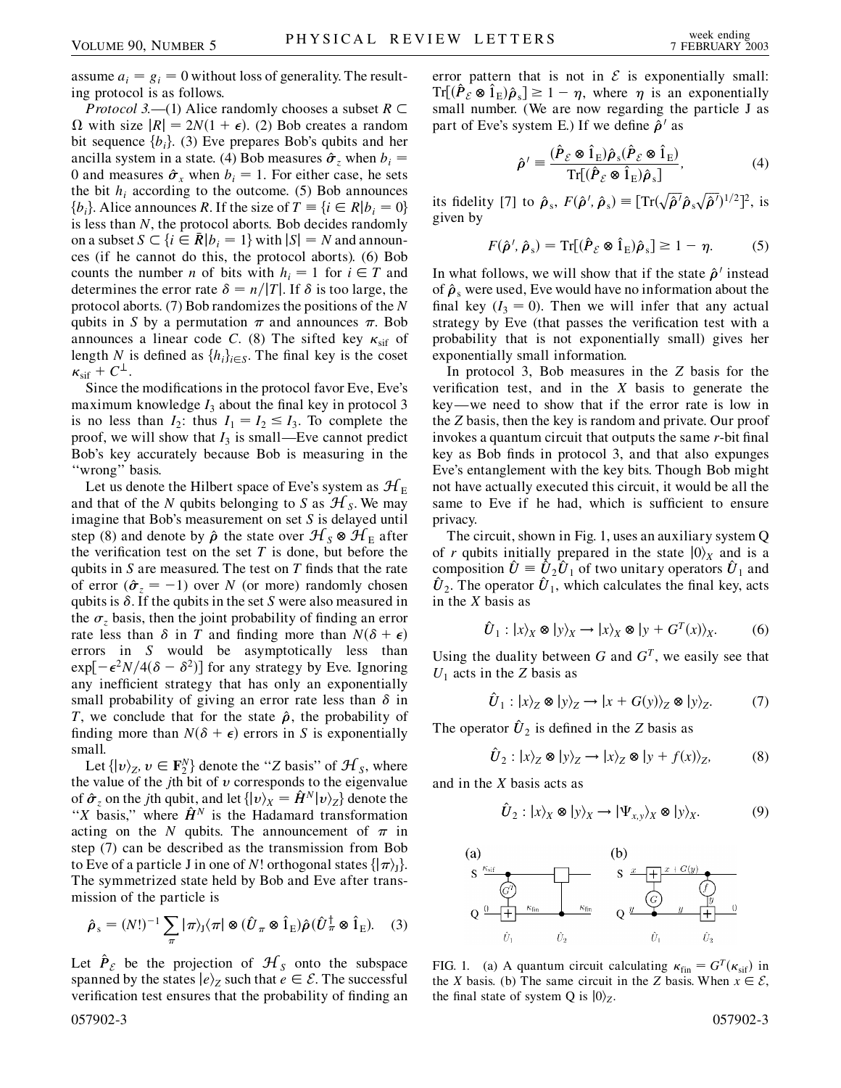assume  $a_i = g_i = 0$  without loss of generality. The resulting protocol is as follows.

*Protocol 3.*—(1) Alice randomly chooses a subset  $R \subset$  $\Omega$  with size  $|R| = 2N(1 + \epsilon)$ . (2) Bob creates a random bit sequence  $\{b_i\}$ . (3) Eve prepares Bob's qubits and her ancilla system in a state. (4) Bob measures  $\hat{\sigma}_z$  when  $b_i =$ 0 and measures  $\hat{\sigma}_x$  when  $b_i = 1$ . For either case, he sets the bit  $h_i$  according to the outcome. (5) Bob announces  ${b_i}$ . Alice announces *R*. If the size of  $T \equiv {i \in R | b_i = 0}$ is less than *N*, the protocol aborts. Bob decides randomly on a subset  $S \subset \{i \in \overline{R} | b_i = 1\}$  with  $|S| = N$  and announces (if he cannot do this, the protocol aborts). (6) Bob counts the number *n* of bits with  $h_i = 1$  for  $i \in T$  and determines the error rate  $\delta = n/|T|$ . If  $\delta$  is too large, the protocol aborts. (7) Bob randomizes the positions of the *N* qubits in *S* by a permutation  $\pi$  and announces  $\pi$ . Bob announces a linear code *C*. (8) The sifted key  $\kappa_{\text{sif}}$  of length *N* is defined as  $\{h_i\}_{i \in S}$ . The final key is the coset  $\kappa_{\rm sif} + C^{\perp}$ .

Since the modifications in the protocol favor Eve, Eve's maximum knowledge  $I_3$  about the final key in protocol 3 is no less than  $I_2$ : thus  $I_1 = I_2 \leq I_3$ . To complete the proof, we will show that  $I_3$  is small—Eve cannot predict Bob's key accurately because Bob is measuring in the "wrong" basis.

Let us denote the Hilbert space of Eve's system as  $\mathcal{H}_E$ and that of the *N* qubits belonging to *S* as  $\mathcal{H}_S$ . We may imagine that Bob's measurement on set *S* is delayed until step (8) and denote by  $\hat{\rho}$  the state over  $\mathcal{H}_S \otimes \mathcal{H}_E$  after the verification test on the set *T* is done, but before the qubits in *S* are measured. The test on *T* finds that the rate of error  $(\hat{\sigma}_z = -1)$  over *N* (or more) randomly chosen qubits is  $\delta$ . If the qubits in the set *S* were also measured in the  $\sigma_z$  basis, then the joint probability of finding an error rate less than  $\delta$  in *T* and finding more than  $N(\delta + \epsilon)$ errors in *S* would be asymptotically less than  $\exp[-\epsilon^2 N/4(\delta - \delta^2)]$  for any strategy by Eve. Ignoring any inefficient strategy that has only an exponentially small probability of giving an error rate less than  $\delta$  in *T*, we conclude that for the state  $\hat{\rho}$ , the probability of finding more than  $N(\delta + \epsilon)$  errors in *S* is exponentially small.

Let  $\{|v\rangle_Z, v \in \mathbf{F}_2^N\}$  denote the "*Z* basis" of  $\mathcal{H}_S$ , where the value of the *j*th bit of *v* corresponds to the eigenvalue of  $\hat{\sigma}_z$  on the *j*th qubit, and let  $\{|v\rangle_X = \hat{H}^N|v\rangle_Z\}$  denote the "*X* basis," where  $\hat{H}^N$  is the Hadamard transformation acting on the *N* qubits. The announcement of  $\pi$  in step (7) can be described as the transmission from Bob to Eve of a particle J in one of N! orthogonal states  $\{\ket{\pi}_{i}\}$ . The symmetrized state held by Bob and Eve after transmission of the particle is

$$
\hat{\boldsymbol{\rho}}_{\rm s} = (N!)^{-1} \sum_{\pi} |\pi\rangle_{\rm J} \langle \pi| \otimes (\hat{U}_{\pi} \otimes \hat{1}_{\rm E}) \hat{\boldsymbol{\rho}} (\hat{U}_{\pi}^{\dagger} \otimes \hat{1}_{\rm E}). \quad (3)
$$

Let  $\hat{P}_{\varepsilon}$  be the projection of  $\mathcal{H}_s$  onto the subspace spanned by the states  $|e\rangle$ <sub>Z</sub> such that  $e \in \mathcal{E}$ . The successful verification test ensures that the probability of finding an 057902-3 057902-3

error pattern that is not in  $\mathcal E$  is exponentially small:  $Tr[(\hat{P}_{\varepsilon} \otimes \hat{1}_{E})\hat{\rho}_{s}] \ge 1 - \eta$ , where  $\eta$  is an exponentially small number. (We are now regarding the particle J as part of Eve's system E.) If we define  $\hat{\rho}^{\prime}$  as

$$
\hat{\boldsymbol{\rho}}' \equiv \frac{(\hat{\boldsymbol{P}}_{\mathcal{E}} \otimes \hat{\mathbf{I}}_{\mathrm{E}}) \hat{\boldsymbol{\rho}}_{\mathrm{s}} (\hat{\boldsymbol{P}}_{\mathcal{E}} \otimes \hat{\mathbf{I}}_{\mathrm{E}})}{\mathrm{Tr}[(\hat{\boldsymbol{P}}_{\mathcal{E}} \otimes \hat{\mathbf{I}}_{\mathrm{E}}) \hat{\boldsymbol{\rho}}_{\mathrm{s}}]},
$$
\n(4)

its fidelity [7] to  $\hat{\rho}_s$ ,  $F(\hat{\rho}', \hat{\rho}_s) \equiv [Tr(\sqrt{\hat{\rho}'}\hat{\rho}_s\sqrt{\hat{\rho}'})^{1/2}]^2$ , is ---given by

$$
F(\hat{\boldsymbol{\rho}}', \hat{\boldsymbol{\rho}}_{s}) = \text{Tr}[(\hat{\boldsymbol{P}}_{\mathcal{E}} \otimes \hat{1}_{E})\hat{\boldsymbol{\rho}}_{s}] \ge 1 - \eta. \tag{5}
$$

In what follows, we will show that if the state  $\hat{\rho}^{\prime}$  instead of  $\hat{\rho}_s$  were used, Eve would have no information about the final key  $(I_3 = 0)$ . Then we will infer that any actual strategy by Eve (that passes the verification test with a probability that is not exponentially small) gives her exponentially small information.

In protocol 3, Bob measures in the *Z* basis for the verification test, and in the *X* basis to generate the key—we need to show that if the error rate is low in the *Z* basis, then the key is random and private. Our proof invokes a quantum circuit that outputs the same *r*-bit final key as Bob finds in protocol 3, and that also expunges Eve's entanglement with the key bits. Though Bob might not have actually executed this circuit, it would be all the same to Eve if he had, which is sufficient to ensure privacy.

The circuit, shown in Fig. 1, uses an auxiliary system Q of *r* qubits initially prepared in the state  $|0\rangle$ <sub>X</sub> and is a composition  $\ddot{U} \equiv U_2 U_1$  of two unitary operators  $U_1$  and  $\hat{U}_2$ . The operator  $\hat{U}_1$ , which calculates the final key, acts in the *X* basis as

$$
\hat{U}_1: |x\rangle_X \otimes |y\rangle_X \to |x\rangle_X \otimes |y + G^T(x)\rangle_X. \tag{6}
$$

Using the duality between  $G$  and  $G<sup>T</sup>$ , we easily see that *U*<sup>1</sup> acts in the *Z* basis as

$$
\hat{U}_1: |x\rangle_Z \otimes |y\rangle_Z \to |x + G(y)\rangle_Z \otimes |y\rangle_Z. \tag{7}
$$

The operator  $\hat{U}_2$  is defined in the *Z* basis as

$$
\hat{U}_2: |x\rangle_Z \otimes |y\rangle_Z \to |x\rangle_Z \otimes |y + f(x)\rangle_Z, \tag{8}
$$

and in the *X* basis acts as

$$
\hat{U}_2: |x\rangle_X \otimes |y\rangle_X \to |\Psi_{x,y}\rangle_X \otimes |y\rangle_X. \tag{9}
$$



FIG. 1. (a) A quantum circuit calculating  $\kappa_{fin} = G^T(\kappa_{sif})$  in the *X* basis. (b) The same circuit in the *Z* basis. When  $x \in \mathcal{E}$ , the final state of system Q is  $|0\rangle$ <sub>Z</sub>.